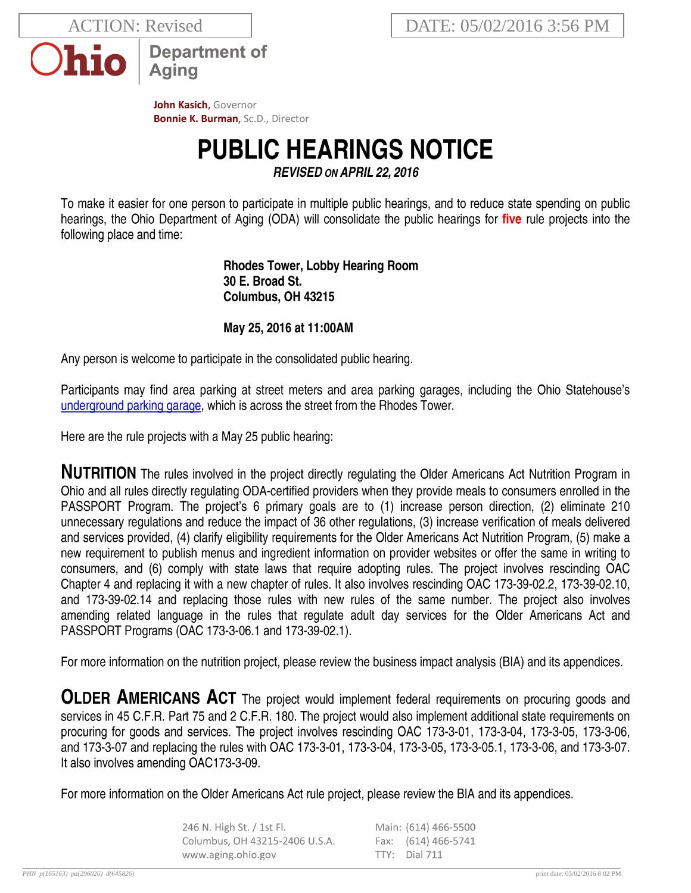**ACTION: Revised** 



**Department of** Aging

John Kasich, Governor **Bonnie K. Burman, Sc.D., Director** 

## **PUBLIC HEARINGS NOTICE**

**REVISED ON APRIL 22, 2016** 

To make it easier for one person to participate in multiple public hearings, and to reduce state spending on public hearings, the Ohio Department of Aging (ODA) will consolidate the public hearings for five rule projects into the following place and time:

> **Rhodes Tower, Lobby Hearing Room** 30 E. Broad St. Columbus, OH 43215

## May 25, 2016 at 11:00AM

Any person is welcome to participate in the consolidated public hearing.

Participants may find area parking at street meters and area parking garages, including the Ohio Statehouse's underground parking garage, which is across the street from the Rhodes Tower.

Here are the rule projects with a May 25 public hearing:

**NUTRITION** The rules involved in the project directly regulating the Older Americans Act Nutrition Program in Ohio and all rules directly regulating ODA-certified providers when they provide meals to consumers enrolled in the PASSPORT Program. The project's 6 primary goals are to (1) increase person direction, (2) eliminate 210 unnecessary regulations and reduce the impact of 36 other regulations, (3) increase verification of meals delivered and services provided, (4) clarify eligibility requirements for the Older Americans Act Nutrition Program, (5) make a new requirement to publish menus and ingredient information on provider websites or offer the same in writing to consumers, and (6) comply with state laws that require adopting rules. The project involves rescinding OAC Chapter 4 and replacing it with a new chapter of rules. It also involves rescinding OAC 173-39-02.2, 173-39-02.10, and 173-39-02.14 and replacing those rules with new rules of the same number. The project also involves amending related language in the rules that regulate adult day services for the Older Americans Act and PASSPORT Programs (OAC 173-3-06.1 and 173-39-02.1).

For more information on the nutrition project, please review the business impact analysis (BIA) and its appendices.

OLDER AMERICANS ACT The project would implement federal requirements on procuring goods and services in 45 C.F.R. Part 75 and 2 C.F.R. 180. The project would also implement additional state requirements on procuring for goods and services. The project involves rescinding OAC 173-3-01, 173-3-04, 173-3-05, 173-3-06, and 173-3-07 and replacing the rules with OAC 173-3-01, 173-3-04, 173-3-05, 173-3-05.1, 173-3-06, and 173-3-07. It also involves amending OAC173-3-09.

For more information on the Older Americans Act rule project, please review the BIA and its appendices.

| 246 N. High St. / 1st Fl.      | Main: (614) 466-5500 |
|--------------------------------|----------------------|
| Columbus, OH 43215-2406 U.S.A. | Fax: (614) 466-5741  |
| www.aging.ohio.gov             | $TTY:$ Dial 711      |